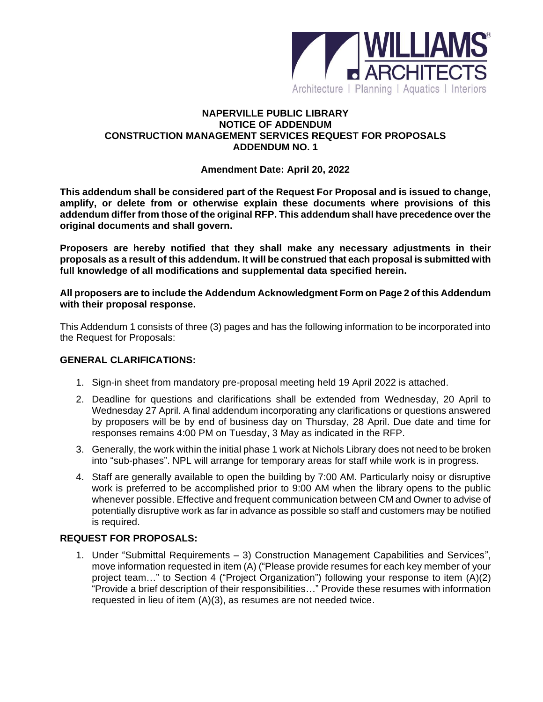

### **NAPERVILLE PUBLIC LIBRARY NOTICE OF ADDENDUM CONSTRUCTION MANAGEMENT SERVICES REQUEST FOR PROPOSALS ADDENDUM NO. 1**

#### **Amendment Date: April 20, 2022**

**This addendum shall be considered part of the Request For Proposal and is issued to change, amplify, or delete from or otherwise explain these documents where provisions of this addendum differ from those of the original RFP. This addendum shall have precedence over the original documents and shall govern.**

**Proposers are hereby notified that they shall make any necessary adjustments in their proposals as a result of this addendum. It will be construed that each proposal is submitted with full knowledge of all modifications and supplemental data specified herein.**

**All proposers are to include the Addendum Acknowledgment Form on Page 2 of this Addendum with their proposal response.** 

This Addendum 1 consists of three (3) pages and has the following information to be incorporated into the Request for Proposals:

#### **GENERAL CLARIFICATIONS:**

- 1. Sign-in sheet from mandatory pre-proposal meeting held 19 April 2022 is attached.
- 2. Deadline for questions and clarifications shall be extended from Wednesday, 20 April to Wednesday 27 April. A final addendum incorporating any clarifications or questions answered by proposers will be by end of business day on Thursday, 28 April. Due date and time for responses remains 4:00 PM on Tuesday, 3 May as indicated in the RFP.
- 3. Generally, the work within the initial phase 1 work at Nichols Library does not need to be broken into "sub-phases". NPL will arrange for temporary areas for staff while work is in progress.
- 4. Staff are generally available to open the building by 7:00 AM. Particularly noisy or disruptive work is preferred to be accomplished prior to 9:00 AM when the library opens to the public whenever possible. Effective and frequent communication between CM and Owner to advise of potentially disruptive work as far in advance as possible so staff and customers may be notified is required.

### **REQUEST FOR PROPOSALS:**

1. Under "Submittal Requirements – 3) Construction Management Capabilities and Services", move information requested in item (A) ("Please provide resumes for each key member of your project team…" to Section 4 ("Project Organization") following your response to item (A)(2) "Provide a brief description of their responsibilities…" Provide these resumes with information requested in lieu of item (A)(3), as resumes are not needed twice.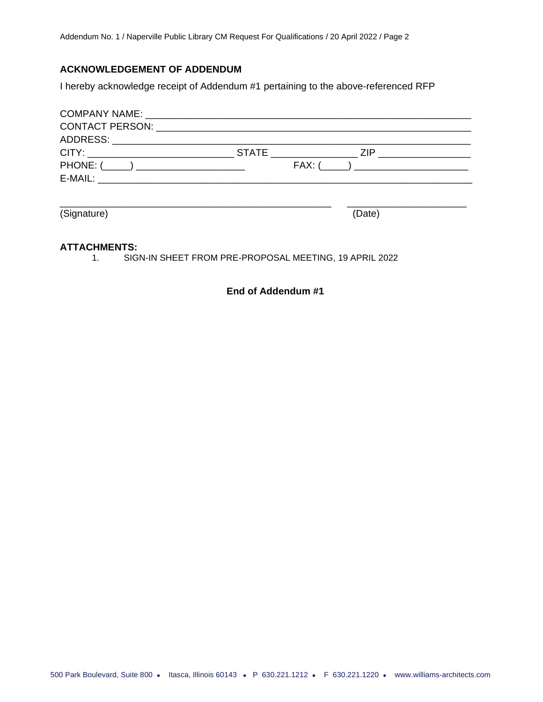## **ACKNOWLEDGEMENT OF ADDENDUM**

I hereby acknowledge receipt of Addendum #1 pertaining to the above-referenced RFP

|          | <b>STATE</b>                                                                                                         | 7IP |
|----------|----------------------------------------------------------------------------------------------------------------------|-----|
| PHONE: ( |                                                                                                                      |     |
| E-MAIL:  | <u> 2001 - 2002 - 2003 - 2004 - 2005 - 2006 - 2007 - 2008 - 2009 - 2009 - 2009 - 2009 - 2009 - 2009 - 2009 - 200</u> |     |
|          |                                                                                                                      |     |

(Signature) (Date)

\_\_\_\_\_\_\_\_\_\_\_\_\_\_\_\_\_\_\_\_\_\_\_\_\_\_\_\_\_\_\_\_\_\_\_\_\_\_\_\_\_\_\_\_\_\_\_\_\_\_ \_\_\_\_\_\_\_\_\_\_\_\_\_\_\_\_\_\_\_\_\_\_

#### **ATTACHMENTS:**

1. SIGN-IN SHEET FROM PRE-PROPOSAL MEETING, 19 APRIL 2022

**End of Addendum #1**